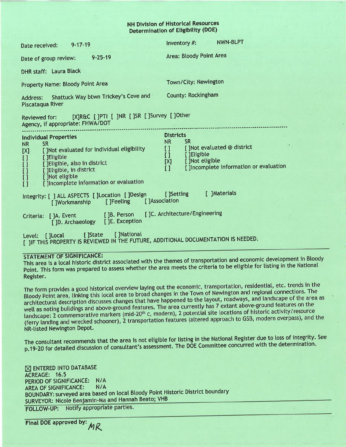### **NH Division of Historical Resources Determination of Eligibility (DOE)**

| $9 - 17 - 19$<br>Date received:                                                                                                                                                                                                                                                                                     | <b>NWN-BLPT</b><br>Inventory #:                                                                                                                                                                                |
|---------------------------------------------------------------------------------------------------------------------------------------------------------------------------------------------------------------------------------------------------------------------------------------------------------------------|----------------------------------------------------------------------------------------------------------------------------------------------------------------------------------------------------------------|
| $9 - 25 - 19$<br>Date of group review:                                                                                                                                                                                                                                                                              | Area: Bloody Point Area                                                                                                                                                                                        |
| <b>DHR staff: Laura Black</b>                                                                                                                                                                                                                                                                                       |                                                                                                                                                                                                                |
| <b>Property Name: Bloody Point Area</b>                                                                                                                                                                                                                                                                             | Town/City: Newington                                                                                                                                                                                           |
| Shattuck Way btwn Trickey's Cove and<br>Address:<br>Piscataqua River                                                                                                                                                                                                                                                | County: Rockingham                                                                                                                                                                                             |
| Reviewed for: [X]R&C []PTI [ ]NR []SR [ ]Survey [ ]Other<br>Agency, if appropriate: FHWA/DOT                                                                                                                                                                                                                        |                                                                                                                                                                                                                |
| <b>Individual Properties</b><br><b>NR</b><br><b>SR</b><br>[ ]Not evaluated for individual eligibility<br>$[{\sf X}]$<br>$\begin{bmatrix} 1 \\ 1 \\ 1 \\ 1 \end{bmatrix}$<br>[ ]Eligible<br>[ ] Eligible, also in district<br>[ ]Eligible, in district<br>[ ]Not eligible<br>[ ]Incomplete information or evaluation | <b>Districts</b><br><b>SR</b><br><b>NR</b><br>[ ]Not evaluated @ district<br>$\mathbf{1}$<br>[ ]Eligible<br>$\mathbf{U}$<br>[ ]Not eligible<br>[X]<br>[]Incomplete information or evaluation<br>$\overline{1}$ |
| Integrity: [ ] ALL ASPECTS [ ]Location [ ]Design<br>[ ]Association<br>[ ]Feeling<br>[ ]Workmanship                                                                                                                                                                                                                  | [ ]Materials<br>[ ]Setting                                                                                                                                                                                     |
| []A. Event []B. Person []C. Architecture/Engineering<br>Criteria:<br>[ ]D. Archaeology [ ]E. Exception                                                                                                                                                                                                              |                                                                                                                                                                                                                |
| [ ]State [ ]National<br>Level: []Local<br>I JIF THIS PROPERTY IS REVIEWED IN THE FUTURE, ADDITIONAL DOCUMENTATION IS NEEDED.                                                                                                                                                                                        |                                                                                                                                                                                                                |

### **STATEMENT OF SIGNIFICANCE:**

This area is a local historic district associated with the themes of transportation and economic development in Bloody Point. This form was prepared to assess whether the area meets the criteria to be eligible for listing in the National Register.

The form provides a good historical overview laying out the economic, transportation, residential, etc. trends in the Bloody Point area, linking this local area to broad changes in the Town of Newington and regional connections. The architectural description discusses changes that have happened to the layout, roadways, and landscape of the area as well as noting buildings and above-ground features. The area currently has 7 extant above-ground features on the landscape: 2 commemorative markers (mid-20<sup>th</sup> c, modern), 2 potential site locations of historic activity/resource (ferry landing and wrecked schooner), 2 transportation features (altered approach to GSB, modern overpass), and the NR-listed Newington Depot.

The consultant recommends that the area is not eligible for listing in the National Register due to loss of integrity. See p.19-20 for detailed discussion of consultant's assessment. The DOE Committee concurred with the determination.

 $\boxtimes$  ENTERED INTO DATABASE ACREAGE: 16.5 PERIOD OF SIGNIFICANCE: N/A **AREA OF SIGNIFICANCE:**  $N/A$ BOUNDARY: surveyed area based on local Bloody Point Historic District boundary SURVEYOR: Nicole Benjamin-Ma and Hannah Beato; VHB FOLLOW-UP: Notify appropriate parties.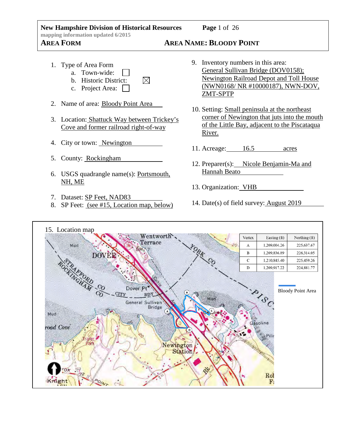### **New Hampshire Division of Historical Resources Page** 1 of 26 **mapping information updated 6/2015 AREA FORM AREA NAME: BLOODY POINT**

# 1. Type of Area Form

- a. Town-wide:
- b. Historic District:  $\boxtimes$
- c. Project Area:
- 2. Name of area: Bloody Point Area
- 3. Location: Shattuck Way between Trickey's Cove and former railroad right-of-way
- 4. City or town: Newington
- 5. County: Rockingham
- 6. USGS quadrangle name(s): Portsmouth, NH, ME
- 7. Dataset: SP Feet, NAD83
- 8. SP Feet: (see #15, Location map, below)

- 9. Inventory numbers in this area: General Sullivan Bridge (DOV0158); Newington Railroad Depot and Toll House (NWN0168/ NR #10000187), NWN-DOV, ZMT-SPTP
- 10. Setting: Small peninsula at the northeast corner of Newington that juts into the mouth of the Little Bay, adjacent to the Piscataqua River.
- 11. Acreage: 16.5 acres
- 12. Preparer(s): Nicole Benjamin-Ma and Hannah Beato
- 13. Organization: VHB
- 14. Date(s) of field survey: August 2019

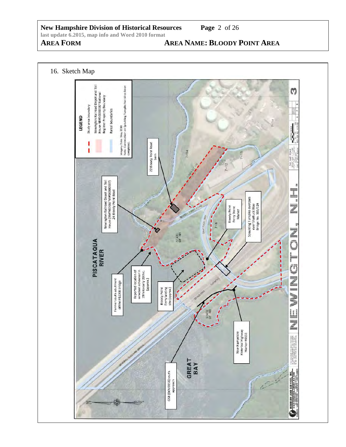# **AREA FORM AREA NAME: BLOODY POINT AREA**

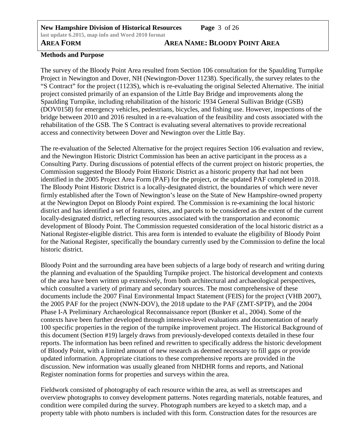# **AREA FORM AREA NAME: BLOODY POINT AREA**

## **Methods and Purpose**

The survey of the Bloody Point Area resulted from Section 106 consultation for the Spaulding Turnpike Project in Newington and Dover, NH (Newington-Dover 11238). Specifically, the survey relates to the "S Contract" for the project (1123S), which is re-evaluating the original Selected Alternative. The initial project consisted primarily of an expansion of the Little Bay Bridge and improvements along the Spaulding Turnpike, including rehabilitation of the historic 1934 General Sullivan Bridge (GSB) (DOV0158) for emergency vehicles, pedestrians, bicycles, and fishing use. However, inspections of the bridge between 2010 and 2016 resulted in a re-evaluation of the feasibility and costs associated with the rehabilitation of the GSB. The S Contract is evaluating several alternatives to provide recreational access and connectivity between Dover and Newington over the Little Bay.

The re-evaluation of the Selected Alternative for the project requires Section 106 evaluation and review, and the Newington Historic District Commission has been an active participant in the process as a Consulting Party. During discussions of potential effects of the current project on historic properties, the Commission suggested the Bloody Point Historic District as a historic property that had not been identified in the 2005 Project Area Form (PAF) for the project, or the updated PAF completed in 2018. The Bloody Point Historic District is a locally-designated district, the boundaries of which were never firmly established after the Town of Newington's lease on the State of New Hampshire-owned property at the Newington Depot on Bloody Point expired. The Commission is re-examining the local historic district and has identified a set of features, sites, and parcels to be considered as the extent of the current locally-designated district, reflecting resources associated with the transportation and economic development of Bloody Point. The Commission requested consideration of the local historic district as a National Register-eligible district. This area form is intended to evaluate the eligibility of Bloody Point for the National Register, specifically the boundary currently used by the Commission to define the local historic district.

Bloody Point and the surrounding area have been subjects of a large body of research and writing during the planning and evaluation of the Spaulding Turnpike project. The historical development and contexts of the area have been written up extensively, from both architectural and archaeological perspectives, which consulted a variety of primary and secondary sources. The most comprehensive of these documents include the 2007 Final Environmental Impact Statement (FEIS) for the project (VHB 2007), the 2005 PAF for the project (NWN-DOV), the 2018 update to the PAF (ZMT-SPTP), and the 2004 Phase I-A Preliminary Archaeological Reconnaissance report (Bunker et al., 2004). Some of the contexts have been further developed through intensive-level evaluations and documentation of nearly 100 specific properties in the region of the turnpike improvement project. The Historical Background of this document (Section #19) largely draws from previously-developed contexts detailed in these four reports. The information has been refined and rewritten to specifically address the historic development of Bloody Point, with a limited amount of new research as deemed necessary to fill gaps or provide updated information. Appropriate citations to these comprehensive reports are provided in the discussion. New information was usually gleaned from NHDHR forms and reports, and National Register nomination forms for properties and surveys within the area.

Fieldwork consisted of photography of each resource within the area, as well as streetscapes and overview photographs to convey development patterns. Notes regarding materials, notable features, and condition were compiled during the survey. Photograph numbers are keyed to a sketch map, and a property table with photo numbers is included with this form. Construction dates for the resources are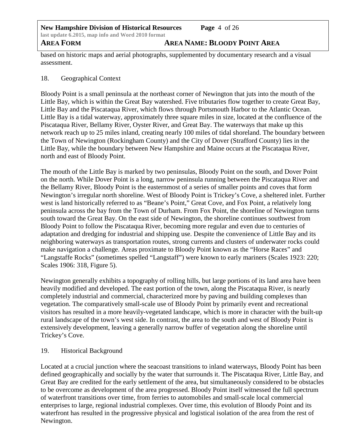based on historic maps and aerial photographs, supplemented by documentary research and a visual assessment.

# 18. Geographical Context

Bloody Point is a small peninsula at the northeast corner of Newington that juts into the mouth of the Little Bay, which is within the Great Bay watershed. Five tributaries flow together to create Great Bay, Little Bay and the Piscataqua River, which flows through Portsmouth Harbor to the Atlantic Ocean. Little Bay is a tidal waterway, approximately three square miles in size, located at the confluence of the Piscataqua River, Bellamy River, Oyster River, and Great Bay. The waterways that make up this network reach up to 25 miles inland, creating nearly 100 miles of tidal shoreland. The boundary between the Town of Newington (Rockingham County) and the City of Dover (Strafford County) lies in the Little Bay, while the boundary between New Hampshire and Maine occurs at the Piscataqua River, north and east of Bloody Point.

The mouth of the Little Bay is marked by two peninsulas, Bloody Point on the south, and Dover Point on the north. While Dover Point is a long, narrow peninsula running between the Piscataqua River and the Bellamy River, Bloody Point is the easternmost of a series of smaller points and coves that form Newington's irregular north shoreline. West of Bloody Point is Trickey's Cove, a sheltered inlet. Further west is land historically referred to as "Beane's Point," Great Cove, and Fox Point, a relatively long peninsula across the bay from the Town of Durham. From Fox Point, the shoreline of Newington turns south toward the Great Bay. On the east side of Newington, the shoreline continues southwest from Bloody Point to follow the Piscataqua River, becoming more regular and even due to centuries of adaptation and dredging for industrial and shipping use. Despite the convenience of Little Bay and its neighboring waterways as transportation routes, strong currents and clusters of underwater rocks could make navigation a challenge. Areas proximate to Bloody Point known as the "Horse Races" and "Langstaffe Rocks" (sometimes spelled "Langstaff") were known to early mariners (Scales 1923: 220; Scales 1906: 318, Figure 5).

Newington generally exhibits a topography of rolling hills, but large portions of its land area have been heavily modified and developed. The east portion of the town, along the Piscataqua River, is nearly completely industrial and commercial, characterized more by paving and building complexes than vegetation. The comparatively small-scale use of Bloody Point by primarily event and recreational visitors has resulted in a more heavily-vegetated landscape, which is more in character with the built-up rural landscape of the town's west side. In contrast, the area to the south and west of Bloody Point is extensively development, leaving a generally narrow buffer of vegetation along the shoreline until Trickey's Cove.

# 19. Historical Background

Located at a crucial junction where the seacoast transitions to inland waterways, Bloody Point has been defined geographically and socially by the water that surrounds it. The Piscataqua River, Little Bay, and Great Bay are credited for the early settlement of the area, but simultaneously considered to be obstacles to be overcome as development of the area progressed. Bloody Point itself witnessed the full spectrum of waterfront transitions over time, from ferries to automobiles and small-scale local commercial enterprises to large, regional industrial complexes. Over time, this evolution of Bloody Point and its waterfront has resulted in the progressive physical and logistical isolation of the area from the rest of Newington.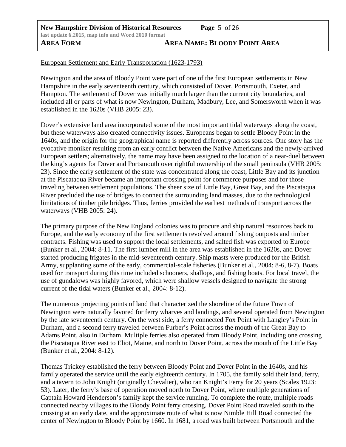## European Settlement and Early Transportation (1623-1793)

Newington and the area of Bloody Point were part of one of the first European settlements in New Hampshire in the early seventeenth century, which consisted of Dover, Portsmouth, Exeter, and Hampton. The settlement of Dover was initially much larger than the current city boundaries, and included all or parts of what is now Newington, Durham, Madbury, Lee, and Somersworth when it was established in the 1620s (VHB 2005: 23).

Dover's extensive land area incorporated some of the most important tidal waterways along the coast, but these waterways also created connectivity issues. Europeans began to settle Bloody Point in the 1640s, and the origin for the geographical name is reported differently across sources. One story has the evocative moniker resulting from an early conflict between the Native Americans and the newly-arrived European settlers; alternatively, the name may have been assigned to the location of a near-duel between the king's agents for Dover and Portsmouth over rightful ownership of the small peninsula (VHB 2005: 23). Since the early settlement of the state was concentrated along the coast, Little Bay and its junction at the Piscataqua River became an important crossing point for commerce purposes and for those traveling between settlement populations. The sheer size of Little Bay, Great Bay, and the Piscataqua River precluded the use of bridges to connect the surrounding land masses, due to the technological limitations of timber pile bridges. Thus, ferries provided the earliest methods of transport across the waterways (VHB 2005: 24).

The primary purpose of the New England colonies was to procure and ship natural resources back to Europe, and the early economy of the first settlements revolved around fishing outposts and timber contracts. Fishing was used to support the local settlements, and salted fish was exported to Europe (Bunker et al., 2004: 8-11. The first lumber mill in the area was established in the 1620s, and Dover started producing frigates in the mid-seventeenth century. Ship masts were produced for the British Army, supplanting some of the early, commercial-scale fisheries (Bunker et al., 2004: 8-6, 8-7). Boats used for transport during this time included schooners, shallops, and fishing boats. For local travel, the use of gundalows was highly favored, which were shallow vessels designed to navigate the strong current of the tidal waters (Bunker et al., 2004: 8-12).

The numerous projecting points of land that characterized the shoreline of the future Town of Newington were naturally favored for ferry wharves and landings, and several operated from Newington by the late seventeenth century. On the west side, a ferry connected Fox Point with Langley's Point in Durham, and a second ferry traveled between Furber's Point across the mouth of the Great Bay to Adams Point, also in Durham. Multiple ferries also operated from Bloody Point, including one crossing the Piscataqua River east to Eliot, Maine, and north to Dover Point, across the mouth of the Little Bay (Bunker et al., 2004: 8-12).

Thomas Trickey established the ferry between Bloody Point and Dover Point in the 1640s, and his family operated the service until the early eighteenth century. In 1705, the family sold their land, ferry, and a tavern to John Knight (originally Chevalier), who ran Knight's Ferry for 20 years (Scales 1923: 53). Later, the ferry's base of operation moved north to Dover Point, where multiple generations of Captain Howard Henderson's family kept the service running. To complete the route, multiple roads connected nearby villages to the Bloody Point ferry crossing. Dover Point Road traveled south to the crossing at an early date, and the approximate route of what is now Nimble Hill Road connected the center of Newington to Bloody Point by 1660. In 1681, a road was built between Portsmouth and the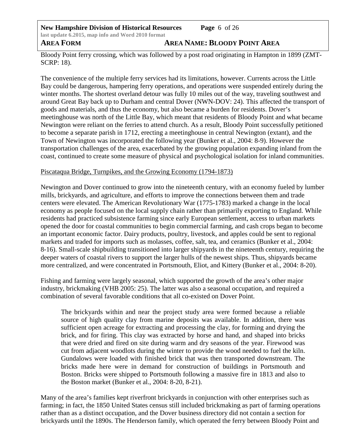**New Hampshire Division of Historical Resources Page** 6 of 26 **last update 6.2015, map info and Word 2010 format AREA FORM AREA NAME: BLOODY POINT AREA**

Bloody Point ferry crossing, which was followed by a post road originating in Hampton in 1899 (ZMT-SCRP: 18).

The convenience of the multiple ferry services had its limitations, however. Currents across the Little Bay could be dangerous, hampering ferry operations, and operations were suspended entirely during the winter months. The shortest overland detour was fully 10 miles out of the way, traveling southwest and around Great Bay back up to Durham and central Dover (NWN-DOV: 24). This affected the transport of goods and materials, and thus the economy, but also became a burden for residents. Dover's meetinghouse was north of the Little Bay, which meant that residents of Bloody Point and what became Newington were reliant on the ferries to attend church. As a result, Bloody Point successfully petitioned to become a separate parish in 1712, erecting a meetinghouse in central Newington (extant), and the Town of Newington was incorporated the following year (Bunker et al., 2004: 8-9). However the transportation challenges of the area, exacerbated by the growing population expanding inland from the coast, continued to create some measure of physical and psychological isolation for inland communities.

### Piscataqua Bridge, Turnpikes, and the Growing Economy (1794-1873)

Newington and Dover continued to grow into the nineteenth century, with an economy fueled by lumber mills, brickyards, and agriculture, and efforts to improve the connections between them and trade centers were elevated. The American Revolutionary War (1775-1783) marked a change in the local economy as people focused on the local supply chain rather than primarily exporting to England. While residents had practiced subsistence farming since early European settlement, access to urban markets opened the door for coastal communities to begin commercial farming, and cash crops began to become an important economic factor. Dairy products, poultry, livestock, and apples could be sent to regional markets and traded for imports such as molasses, coffee, salt, tea, and ceramics (Bunker et al., 2004: 8-16). Small-scale shipbuilding transitioned into larger shipyards in the nineteenth century, requiring the deeper waters of coastal rivers to support the larger hulls of the newest ships. Thus, shipyards became more centralized, and were concentrated in Portsmouth, Eliot, and Kittery (Bunker et al., 2004: 8-20).

Fishing and farming were largely seasonal, which supported the growth of the area's other major industry, brickmaking (VHB 2005: 25). The latter was also a seasonal occupation, and required a combination of several favorable conditions that all co-existed on Dover Point.

The brickyards within and near the project study area were formed because a reliable source of high quality clay from marine deposits was available. In addition, there was sufficient open acreage for extracting and processing the clay, for forming and drying the brick, and for firing. This clay was extracted by horse and hand, and shaped into bricks that were dried and fired on site during warm and dry seasons of the year. Firewood was cut from adjacent woodlots during the winter to provide the wood needed to fuel the kiln. Gundalows were loaded with finished brick that was then transported downstream. The bricks made here were in demand for construction of buildings in Portsmouth and Boston. Bricks were shipped to Portsmouth following a massive fire in 1813 and also to the Boston market (Bunker et al., 2004: 8-20, 8-21).

Many of the area's families kept riverfront brickyards in conjunction with other enterprises such as farming; in fact, the 1850 United States census still included brickmaking as part of farming operations rather than as a distinct occupation, and the Dover business directory did not contain a section for brickyards until the 1890s. The Henderson family, which operated the ferry between Bloody Point and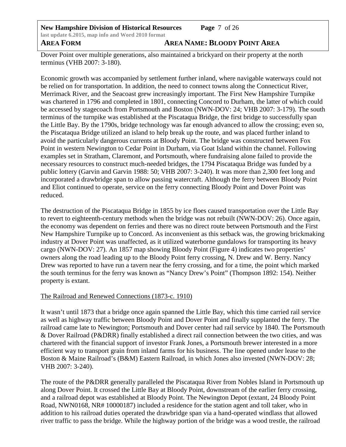**New Hampshire Division of Historical Resources Page** 7 of 26 **last update 6.2015, map info and Word 2010 format AREA FORM AREA NAME: BLOODY POINT AREA**

Dover Point over multiple generations, also maintained a brickyard on their property at the north terminus (VHB 2007: 3-180).

Economic growth was accompanied by settlement further inland, where navigable waterways could not be relied on for transportation. In addition, the need to connect towns along the Connecticut River, Merrimack River, and the Seacoast grew increasingly important. The First New Hampshire Turnpike was chartered in 1796 and completed in 1801, connecting Concord to Durham, the latter of which could be accessed by stagecoach from Portsmouth and Boston (NWN-DOV: 24; VHB 2007: 3-179). The south terminus of the turnpike was established at the Piscataqua Bridge, the first bridge to successfully span the Little Bay. By the 1790s, bridge technology was far enough advanced to allow the crossing; even so, the Piscataqua Bridge utilized an island to help break up the route, and was placed further inland to avoid the particularly dangerous currents at Bloody Point. The bridge was constructed between Fox Point in western Newington to Cedar Point in Durham, via Goat Island within the channel. Following examples set in Stratham, Claremont, and Portsmouth, where fundraising alone failed to provide the necessary resources to construct much-needed bridges, the 1794 Piscataqua Bridge was funded by a public lottery (Garvin and Garvin 1988: 50; VHB 2007: 3-240). It was more than 2,300 feet long and incorporated a drawbridge span to allow passing watercraft. Although the ferry between Bloody Point and Eliot continued to operate, service on the ferry connecting Bloody Point and Dover Point was reduced.

The destruction of the Piscataqua Bridge in 1855 by ice floes caused transportation over the Little Bay to revert to eighteenth-century methods when the bridge was not rebuilt (NWN-DOV: 26). Once again, the economy was dependent on ferries and there was no direct route between Portsmouth and the First New Hampshire Turnpike up to Concord. As inconvenient as this setback was, the growing brickmaking industry at Dover Point was unaffected, as it utilized waterborne gundalows for transporting its heavy cargo (NWN-DOV: 27). An 1857 map showing Bloody Point (Figure 4) indicates two properties' owners along the road leading up to the Bloody Point ferry crossing, N. Drew and W. Berry. Nancy Drew was reported to have run a tavern near the ferry crossing, and for a time, the point which marked the south terminus for the ferry was known as "Nancy Drew's Point" (Thompson 1892: 154). Neither property is extant.

# The Railroad and Renewed Connections (1873-c. 1910)

It wasn't until 1873 that a bridge once again spanned the Little Bay, which this time carried rail service as well as highway traffic between Bloody Point and Dover Point and finally supplanted the ferry. The railroad came late to Newington; Portsmouth and Dover center had rail service by 1840. The Portsmouth & Dover Railroad (P&DRR) finally established a direct rail connection between the two cities, and was chartered with the financial support of investor Frank Jones, a Portsmouth brewer interested in a more efficient way to transport grain from inland farms for his business. The line opened under lease to the Boston & Maine Railroad's (B&M) Eastern Railroad, in which Jones also invested (NWN-DOV: 28; VHB 2007: 3-240).

The route of the P&DRR generally paralleled the Piscataqua River from Nobles Island in Portsmouth up along Dover Point. It crossed the Little Bay at Bloody Point, downstream of the earlier ferry crossing, and a railroad depot was established at Bloody Point. The Newington Depot (extant, 24 Bloody Point Road, NWN0168, NR# 10000187) included a residence for the station agent and toll taker, who in addition to his railroad duties operated the drawbridge span via a hand-operated windlass that allowed river traffic to pass the bridge. While the highway portion of the bridge was a wood trestle, the railroad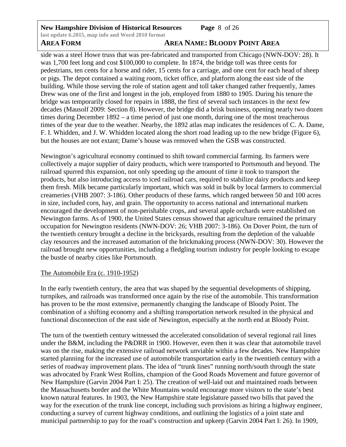# **New Hampshire Division of Historical Resources Page** 8 of 26 **last update 6.2015, map info and Word 2010 format**

# **AREA FORM AREA NAME: BLOODY POINT AREA**

side was a steel Howe truss that was pre-fabricated and transported from Chicago (NWN-DOV: 28). It was 1,700 feet long and cost \$100,000 to complete. In 1874, the bridge toll was three cents for pedestrians, ten cents for a horse and rider, 15 cents for a carriage, and one cent for each head of sheep or pigs. The depot contained a waiting room, ticket office, and platform along the east side of the building. While those serving the role of station agent and toll taker changed rather frequently, James Drew was one of the first and longest in the job, employed from 1880 to 1905. During his tenure the bridge was temporarily closed for repairs in 1888, the first of several such instances in the next few decades (Mausolf 2009: Section 8). However, the bridge did a brisk business, opening nearly two dozen times during December 1892 – a time period of just one month, during one of the most treacherous times of the year due to the weather. Nearby, the 1892 atlas map indicates the residences of C. A. Dame, F. I. Whidden, and J. W. Whidden located along the short road leading up to the new bridge (Figure 6), but the houses are not extant; Dame's house was removed when the GSB was constructed.

Newington's agricultural economy continued to shift toward commercial farming. Its farmers were collectively a major supplier of dairy products, which were transported to Portsmouth and beyond. The railroad spurred this expansion, not only speeding up the amount of time it took to transport the products, but also introducing access to iced railroad cars, required to stabilize dairy products and keep them fresh. Milk became particularly important, which was sold in bulk by local farmers to commercial creameries (VHB 2007: 3-186). Other products of these farms, which ranged between 50 and 100 acres in size, included corn, hay, and grain. The opportunity to access national and international markets encouraged the development of non-perishable crops, and several apple orchards were established on Newington farms. As of 1900, the United States census showed that agriculture remained the primary occupation for Newington residents (NWN-DOV: 26; VHB 2007: 3-186). On Dover Point, the turn of the twentieth century brought a decline in the brickyards, resulting from the depletion of the valuable clay resources and the increased automation of the brickmaking process (NWN-DOV: 30). However the railroad brought new opportunities, including a fledgling tourism industry for people looking to escape the bustle of nearby cities like Portsmouth.

# The Automobile Era (c. 1910-1952)

In the early twentieth century, the area that was shaped by the sequential developments of shipping, turnpikes, and railroads was transformed once again by the rise of the automobile. This transformation has proven to be the most extensive, permanently changing the landscape of Bloody Point. The combination of a shifting economy and a shifting transportation network resulted in the physical and functional disconnection of the east side of Newington, especially at the north end at Bloody Point.

The turn of the twentieth century witnessed the accelerated consolidation of several regional rail lines under the B&M, including the P&DRR in 1900. However, even then it was clear that automobile travel was on the rise, making the extensive railroad network unviable within a few decades. New Hampshire started planning for the increased use of automobile transportation early in the twentieth century with a series of roadway improvement plans. The idea of "trunk lines" running north/south through the state was advocated by Frank West Rollins, champion of the Good Roads Movement and future governor of New Hampshire (Garvin 2004 Part I: 25). The creation of well-laid out and maintained roads between the Massachusetts border and the White Mountains would encourage more visitors to the state's best known natural features. In 1903, the New Hampshire state legislature passed two bills that paved the way for the execution of the trunk line concept, including such provisions as hiring a highway engineer, conducting a survey of current highway conditions, and outlining the logistics of a joint state and municipal partnership to pay for the road's construction and upkeep (Garvin 2004 Part I: 26). In 1909,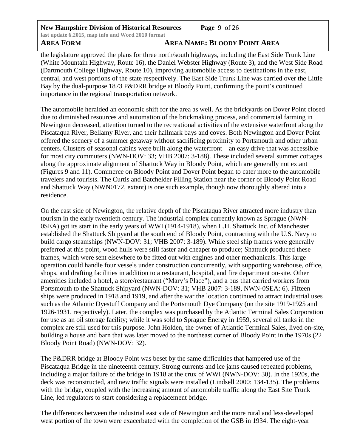**New Hampshire Division of Historical Resources Page** 9 of 26 **last update 6.2015, map info and Word 2010 format**

# **AREA FORM AREA NAME: BLOODY POINT AREA**

the legislature approved the plans for three north/south highways, including the East Side Trunk Line (White Mountain Highway, Route 16), the Daniel Webster Highway (Route 3), and the West Side Road (Dartmouth College Highway, Route 10), improving automobile access to destinations in the east, central, and west portions of the state respectively. The East Side Trunk Line was carried over the Little Bay by the dual-purpose 1873 P&DRR bridge at Bloody Point, confirming the point's continued importance in the regional transportation network.

The automobile heralded an economic shift for the area as well. As the brickyards on Dover Point closed due to diminished resources and automation of the brickmaking process, and commercial farming in Newington decreased, attention turned to the recreational activities of the extensive waterfront along the Piscataqua River, Bellamy River, and their hallmark bays and coves. Both Newington and Dover Point offered the scenery of a summer getaway without sacrificing proximity to Portsmouth and other urban centers. Clusters of seasonal cabins were built along the waterfront – an easy drive that was accessible for most city commuters (NWN-DOV: 33; VHB 2007: 3-188). These included several summer cottages along the approximate alignment of Shattuck Way in Bloody Point, which are generally not extant (Figures 9 and 11). Commerce on Bloody Point and Dover Point began to cater more to the automobile travelers and tourists. The Curtis and Batchelder Filling Station near the corner of Bloody Point Road and Shattuck Way (NWN0172, extant) is one such example, though now thoroughly altered into a residence.

On the east side of Newington, the relative depth of the Piscataqua River attracted more industry than tourism in the early twentieth century. The industrial complex currently known as Sprague (NWN-0SEA) got its start in the early years of WWI (1914-1918), when L.H. Shattuck Inc. of Manchester established the Shattuck Shipyard at the south end of Bloody Point, contracting with the U.S. Navy to build cargo steamships (NWN-DOV: 31; VHB 2007: 3-189). While steel ship frames were generally preferred at this point, wood hulls were still faster and cheaper to produce; Shattuck produced these frames, which were sent elsewhere to be fitted out with engines and other mechanicals. This large operation could handle four vessels under construction concurrently, with supporting warehouse, office, shops, and drafting facilities in addition to a restaurant, hospital, and fire department on-site. Other amenities included a hotel, a store/restaurant ("Mary's Place"), and a bus that carried workers from Portsmouth to the Shattuck Shipyard (NWN-DOV: 31; VHB 2007: 3-189, NWN-0SEA: 6). Fifteen ships were produced in 1918 and 1919, and after the war the location continued to attract industrial uses such as the Atlantic Dyestuff Company and the Portsmouth Dye Company (on the site 1919-1925 and 1926-1931, respectively). Later, the complex was purchased by the Atlantic Terminal Sales Corporation for use as an oil storage facility; while it was sold to Sprague Energy in 1959, several oil tanks in the complex are still used for this purpose. John Holden, the owner of Atlantic Terminal Sales, lived on-site, building a house and barn that was later moved to the northeast corner of Bloody Point in the 1970s (22 Bloody Point Road) (NWN-DOV: 32).

The P&DRR bridge at Bloody Point was beset by the same difficulties that hampered use of the Piscataqua Bridge in the nineteenth century. Strong currents and ice jams caused repeated problems, including a major failure of the bridge in 1918 at the crux of WWI (NWN-DOV: 30). In the 1920s, the deck was reconstructed, and new traffic signals were installed (Lindsell 2000: 134-135). The problems with the bridge, coupled with the increasing amount of automobile traffic along the East Site Trunk Line, led regulators to start considering a replacement bridge.

The differences between the industrial east side of Newington and the more rural and less-developed west portion of the town were exacerbated with the completion of the GSB in 1934. The eight-year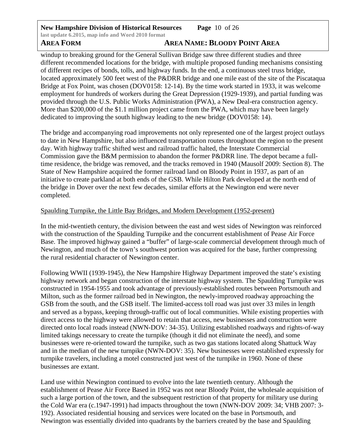**New Hampshire Division of Historical Resources Page** 10 of 26 **last update 6.2015, map info and Word 2010 format**

# **AREA FORM AREA NAME: BLOODY POINT AREA**

windup to breaking ground for the General Sullivan Bridge saw three different studies and three different recommended locations for the bridge, with multiple proposed funding mechanisms consisting of different recipes of bonds, tolls, and highway funds. In the end, a continuous steel truss bridge, located approximately 500 feet west of the P&DRR bridge and one mile east of the site of the Piscataqua Bridge at Fox Point, was chosen (DOV0158: 12-14). By the time work started in 1933, it was welcome employment for hundreds of workers during the Great Depression (1929-1939), and partial funding was provided through the U.S. Public Works Administration (PWA), a New Deal-era construction agency. More than \$200,000 of the \$1.1 million project came from the PWA, which may have been largely dedicated to improving the south highway leading to the new bridge (DOV0158: 14).

The bridge and accompanying road improvements not only represented one of the largest project outlays to date in New Hampshire, but also influenced transportation routes throughout the region to the present day. With highway traffic shifted west and railroad traffic halted, the Interstate Commercial Commission gave the B&M permission to abandon the former P&DRR line. The depot became a fulltime residence, the bridge was removed, and the tracks removed in 1940 (Mausolf 2009: Section 8). The State of New Hampshire acquired the former railroad land on Bloody Point in 1937, as part of an initiative to create parkland at both ends of the GSB. While Hilton Park developed at the north end of the bridge in Dover over the next few decades, similar efforts at the Newington end were never completed.

# Spaulding Turnpike, the Little Bay Bridges, and Modern Development (1952-present)

In the mid-twentieth century, the division between the east and west sides of Newington was reinforced with the construction of the Spaulding Turnpike and the concurrent establishment of Pease Air Force Base. The improved highway gained a "buffer" of large-scale commercial development through much of Newington, and much of the town's southwest portion was acquired for the base, further compressing the rural residential character of Newington center.

Following WWII (1939-1945), the New Hampshire Highway Department improved the state's existing highway network and began construction of the interstate highway system. The Spaulding Turnpike was constructed in 1954-1955 and took advantage of previously-established routes between Portsmouth and Milton, such as the former railroad bed in Newington, the newly-improved roadway approaching the GSB from the south, and the GSB itself. The limited-access toll road was just over 33 miles in length and served as a bypass, keeping through-traffic out of local communities. While existing properties with direct access to the highway were allowed to retain that access, new businesses and construction were directed onto local roads instead (NWN-DOV: 34-35). Utilizing established roadways and rights-of-way limited takings necessary to create the turnpike (though it did not eliminate the need), and some businesses were re-oriented toward the turnpike, such as two gas stations located along Shattuck Way and in the median of the new turnpike (NWN-DOV: 35). New businesses were established expressly for turnpike travelers, including a motel constructed just west of the turnpike in 1960. None of these businesses are extant.

Land use within Newington continued to evolve into the late twentieth century. Although the establishment of Pease Air Force Based in 1952 was not near Bloody Point, the wholesale acquisition of such a large portion of the town, and the subsequent restriction of that property for military use during the Cold War era (c.1947-1991) had impacts throughout the town (NWN-DOV 2009: 34; VHB 2007: 3- 192). Associated residential housing and services were located on the base in Portsmouth, and Newington was essentially divided into quadrants by the barriers created by the base and Spaulding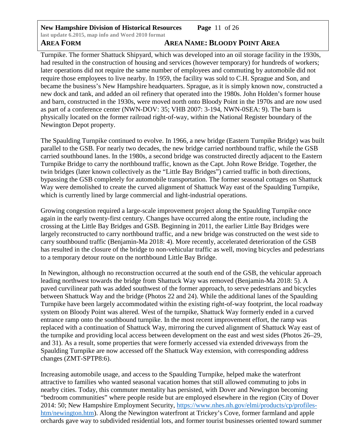**New Hampshire Division of Historical Resources Page** 11 of 26 **last update 6.2015, map info and Word 2010 format**

# **AREA FORM AREA NAME: BLOODY POINT AREA**

Turnpike. The former Shattuck Shipyard, which was developed into an oil storage facility in the 1930s, had resulted in the construction of housing and services (however temporary) for hundreds of workers; later operations did not require the same number of employees and commuting by automobile did not require those employees to live nearby. In 1959, the facility was sold to C.H. Sprague and Son, and became the business's New Hampshire headquarters. Sprague, as it is simply known now, constructed a new dock and tank, and added an oil refinery that operated into the 1980s. John Holden's former house and barn, constructed in the 1930s, were moved north onto Bloody Point in the 1970s and are now used as part of a conference center (NWN-DOV: 35; VHB 2007: 3-194, NWN-0SEA: 9). The barn is physically located on the former railroad right-of-way, within the National Register boundary of the Newington Depot property.

The Spaulding Turnpike continued to evolve. In 1966, a new bridge (Eastern Turnpike Bridge) was built parallel to the GSB. For nearly two decades, the new bridge carried northbound traffic, while the GSB carried southbound lanes. In the 1980s, a second bridge was constructed directly adjacent to the Eastern Turnpike Bridge to carry the northbound traffic, known as the Capt. John Rowe Bridge. Together, the twin bridges (later known collectively as the "Little Bay Bridges") carried traffic in both directions, bypassing the GSB completely for automobile transportation. The former seasonal cottages on Shattuck Way were demolished to create the curved alignment of Shattuck Way east of the Spaulding Turnpike, which is currently lined by large commercial and light-industrial operations.

Growing congestion required a large-scale improvement project along the Spaulding Turnpike once again in the early twenty-first century. Changes have occurred along the entire route, including the crossing at the Little Bay Bridges and GSB. Beginning in 2011, the earlier Little Bay Bridges were largely reconstructed to carry northbound traffic, and a new bridge was constructed on the west side to carry southbound traffic (Benjamin-Ma 2018: 4). More recently, accelerated deterioration of the GSB has resulted in the closure of the bridge to non-vehicular traffic as well, moving bicycles and pedestrians to a temporary detour route on the northbound Little Bay Bridge.

In Newington, although no reconstruction occurred at the south end of the GSB, the vehicular approach leading northwest towards the bridge from Shattuck Way was removed (Benjamin-Ma 2018: 5). A paved curvilinear path was added southwest of the former approach, to serve pedestrians and bicycles between Shattuck Way and the bridge (Photos 22 and 24). While the additional lanes of the Spaulding Turnpike have been largely accommodated within the existing right-of-way footprint, the local roadway system on Bloody Point was altered. West of the turnpike, Shattuck Way formerly ended in a curved entrance ramp onto the southbound turnpike. In the most recent improvement effort, the ramp was replaced with a continuation of Shattuck Way, mirroring the curved alignment of Shattuck Way east of the turnpike and providing local access between development on the east and west sides (Photos 26–29, and 31). As a result, some properties that were formerly accessed via extended driveways from the Spaulding Turnpike are now accessed off the Shattuck Way extension, with corresponding address changes (ZMT-SPTP8:6).

Increasing automobile usage, and access to the Spaulding Turnpike, helped make the waterfront attractive to families who wanted seasonal vacation homes that still allowed commuting to jobs in nearby cities. Today, this commuter mentality has persisted, with Dover and Newington becoming "bedroom communities" where people reside but are employed elsewhere in the region (City of Dover 2014: 50; New Hampshire Employment Security, [https://www.nhes.nh.gov/elmi/products/cp/profiles](https://www.nhes.nh.gov/elmi/products/cp/profiles-htm/newington.htm)[htm/newington.htm\)](https://www.nhes.nh.gov/elmi/products/cp/profiles-htm/newington.htm). Along the Newington waterfront at Trickey's Cove, former farmland and apple orchards gave way to subdivided residential lots, and former tourist businesses oriented toward summer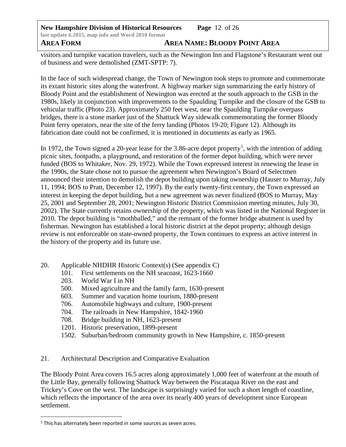**New Hampshire Division of Historical Resources Page** 12 of 26 **last update 6.2015, map info and Word 2010 format AREA FORM AREA NAME: BLOODY POINT AREA**

visitors and turnpike vacation travelers, such as the Newington Inn and Flagstone's Restaurant went out of business and were demolished (ZMT-SPTP: 7).

In the face of such widespread change, the Town of Newington took steps to promote and commemorate its extant historic sites along the waterfront. A highway marker sign summarizing the early history of Bloody Point and the establishment of Newington was erected at the south approach to the GSB in the 1980s, likely in conjunction with improvements to the Spaulding Turnpike and the closure of the GSB to vehicular traffic (Photo 23). Approximately 250 feet west, near the Spaulding Turnpike overpass bridges, there is a stone marker just of the Shattuck Way sidewalk commemorating the former Bloody Point ferry operators, near the site of the ferry landing (Photos 19-20; Figure 12). Although its fabrication date could not be confirmed, it is mentioned in documents as early as 1965.

In [1](#page-12-0)972, the Town signed a 20-year lease for the 3.86-acre depot property<sup>1</sup>, with the intention of adding picnic sites, footpaths, a playground, and restoration of the former depot building, which were never funded (BOS to Whitaker, Nov. 29, 1972). While the Town expressed interest in renewing the lease in the 1990s, the State chose not to pursue the agreement when Newington's Board of Selectmen announced their intention to demolish the depot building upon taking ownership (Hauser to Murray, July 11, 1994; BOS to Pratt, December 12, 1997). By the early twenty-first century, the Town expressed an interest in keeping the depot building, but a new agreement was never finalized (BOS to Murray, May 25, 2001 and September 28, 2001; Newington Historic District Commission meeting minutes, July 30, 2002). The State currently retains ownership of the property, which was listed in the National Register in 2010. The depot building is "mothballed," and the remnant of the former bridge abutment is used by fisherman. Newington has established a local historic district at the depot property; although design review is not enforceable on state-owned property, the Town continues to express an active interest in the history of the property and its future use.

- 20. Applicable NHDHR Historic Context(s) (See appendix C)
	- 101. First settlements on the NH seacoast, 1623-1660
	- 203. World War I in NH
	- 500. Mixed agriculture and the family farm, 1630-present
	- 603. Summer and vacation home tourism, 1880-present
	- 706. Automobile highways and culture, 1900-present
	- 704. The railroads in New Hampshire, 1842-1960
	- 708. Bridge building in NH, 1623-present
	- 1201. Historic preservation, 1899-present
	- 1502. Suburban/bedroom community growth in New Hampshire, c. 1850-present
- 21. Architectural Description and Comparative Evaluation

The Bloody Point Area covers 16.5 acres along approximately 1,000 feet of waterfront at the mouth of the Little Bay, generally following Shattuck Way between the Piscataqua River on the east and Trickey's Cove on the west. The landscape is surprisingly varied for such a short length of coastline, which reflects the importance of the area over its nearly 400 years of development since European settlement.

 $\overline{a}$ 

<span id="page-12-0"></span> $<sup>1</sup>$  This has alternately been reported in some sources as seven acres.</sup>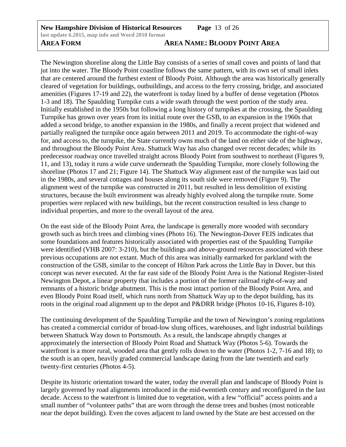# **AREA FORM AREA NAME: BLOODY POINT AREA**

The Newington shoreline along the Little Bay consists of a series of small coves and points of land that jut into the water. The Bloody Point coastline follows the same pattern, with its own set of small inlets that are centered around the furthest extent of Bloody Point. Although the area was historically generally cleared of vegetation for buildings, outbuildings, and access to the ferry crossing, bridge, and associated amenities (Figures 17-19 and 22), the waterfront is today lined by a buffer of dense vegetation (Photos 1-3 and 18). The Spaulding Turnpike cuts a wide swath through the west portion of the study area. Initially established in the 1950s but following a long history of turnpikes at the crossing, the Spaulding Turnpike has grown over years from its initial route over the GSB, to an expansion in the 1960s that added a second bridge, to another expansion in the 1980s, and finally a recent project that widened and partially realigned the turnpike once again between 2011 and 2019. To accommodate the right-of-way for, and access to, the turnpike, the State currently owns much of the land on either side of the highway, and throughout the Bloody Point Area. Shattuck Way has also changed over recent decades; while its predecessor roadway once travelled straight across Bloody Point from southwest to northeast (Figures 9, 11, and 13), today it runs a wide curve underneath the Spaulding Turnpike, more closely following the shoreline (Photos 17 and 21; Figure 14). The Shattuck Way alignment east of the turnpike was laid out in the 1980s, and several cottages and houses along its south side were removed (Figure 9). The alignment west of the turnpike was constructed in 2011, but resulted in less demolition of existing structures, because the built environment was already highly evolved along the turnpike route. Some properties were replaced with new buildings, but the recent construction resulted in less change to individual properties, and more to the overall layout of the area.

On the east side of the Bloody Point Area, the landscape is generally more wooded with secondary growth such as birch trees and climbing vines (Photo 16). The Newington-Dover FEIS indicates that some foundations and features historically associated with properties east of the Spaulding Turnpike were identified (VHB 2007: 3-210), but the buildings and above-ground resources associated with these previous occupations are not extant. Much of this area was initially earmarked for parkland with the construction of the GSB, similar to the concept of Hilton Park across the Little Bay in Dover, but this concept was never executed. At the far east side of the Bloody Point Area is the National Register-listed Newington Depot, a linear property that includes a portion of the former railroad right-of-way and remnants of a historic bridge abutment. This is the most intact portion of the Bloody Point Area, and even Bloody Point Road itself, which runs north from Shattuck Way up to the depot building, has its roots in the original road alignment up to the depot and P&DRR bridge (Photos 10-16, Figures 8-10).

The continuing development of the Spaulding Turnpike and the town of Newington's zoning regulations has created a commercial corridor of broad-low slung offices, warehouses, and light industrial buildings between Shattuck Way down to Portsmouth. As a result, the landscape abruptly changes at approximately the intersection of Bloody Point Road and Shattuck Way (Photos 5-6). Towards the waterfront is a more rural, wooded area that gently rolls down to the water (Photos 1-2, 7-16 and 18); to the south is an open, heavily graded commercial landscape dating from the late twentieth and early twenty-first centuries (Photos 4-5).

Despite its historic orientation toward the water, today the overall plan and landscape of Bloody Point is largely governed by road alignments introduced in the mid-twentieth century and reconfigured in the last decade. Access to the waterfront is limited due to vegetation, with a few "official" access points and a small number of "volunteer paths" that are worn through the dense trees and bushes (most noticeable near the depot building). Even the coves adjacent to land owned by the State are best accessed on the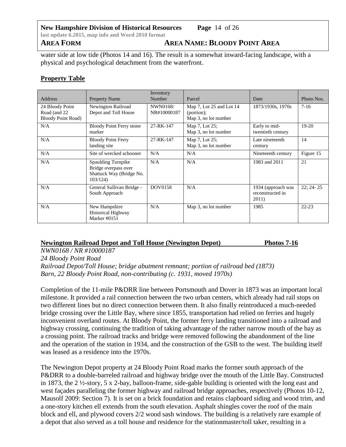**New Hampshire Division of Historical Resources Page** 14 of 26 **last update 6.2015, map info and Word 2010 format**

**AREA FORM AREA NAME: BLOODY POINT AREA**

water side at low tide (Photos 14 and 16). The result is a somewhat inward-facing landscape, with a physical and psychological detachment from the waterfront.

# **Property Table**

| <b>Address</b>                                                 | <b>Property Name</b>                                                              | Inventory<br>Number     | Parcel                                                                       | Date                                            | Photo Nos. |
|----------------------------------------------------------------|-----------------------------------------------------------------------------------|-------------------------|------------------------------------------------------------------------------|-------------------------------------------------|------------|
| 24 Bloody Point<br>Road (and 22)<br><b>Bloody Point Road</b> ) | Newington Railroad<br>Depot and Toll House                                        | NWN0168/<br>NR#10000187 | Map 7, Lot 25 and Lot 14<br>(portion);<br>Map 3, no lot number               | 1873/1930s, 1970s                               | $7-16$     |
| N/A                                                            | <b>Bloody Point Ferry stone</b><br>marker                                         | 27-RK-147               | Early to mid-<br>Map 7, Lot 25;<br>Map 3, no lot number<br>twentieth century |                                                 | $19-20$    |
| N/A                                                            | <b>Bloody Point Ferry</b><br>landing site                                         | 27-RK-147               | Map 7, Lot 25;<br>Map 3, no lot number                                       | Late nineteenth<br>century                      | 14         |
| N/A                                                            | Site of wrecked schooner                                                          | N/A                     | N/A                                                                          | Nineteenth century                              | Figure 15  |
| N/A                                                            | Spaulding Turnpike<br>Bridge overpass over<br>Shattuck Way (Bridge No.<br>103/124 | N/A                     | N/A                                                                          | 1983 and 2011                                   | 21         |
| N/A                                                            | General Sullivan Bridge -<br>South Approach                                       | <b>DOV0158</b>          | N/A                                                                          | 1934 (approach was<br>reconstructed in<br>2011) | $22:24-25$ |
| N/A                                                            | New Hampshire<br><b>Historical Highway</b><br>Marker #0151                        | N/A                     | Map 3, no lot number                                                         | 1985                                            | $22 - 23$  |

## **Newington Railroad Depot and Toll House (Newington Depot) Photos 7-16**

*NWN0168 / NR #10000187* 

*24 Bloody Point Road Railroad Depot/Toll House; bridge abutment remnant; portion of railroad bed (1873) Barn, 22 Bloody Point Road, non-contributing (c. 1931, moved 1970s)* 

Completion of the 11-mile P&DRR line between Portsmouth and Dover in 1873 was an important local milestone. It provided a rail connection between the two urban centers, which already had rail stops on two different lines but no direct connection between them. It also finally reintroduced a much-needed bridge crossing over the Little Bay, where since 1855, transportation had relied on ferries and hugely inconvenient overland routes. At Bloody Point, the former ferry landing transitioned into a railroad and highway crossing, continuing the tradition of taking advantage of the rather narrow mouth of the bay as a crossing point. The railroad tracks and bridge were removed following the abandonment of the line and the operation of the station in 1934, and the construction of the GSB to the west. The building itself was leased as a residence into the 1970s.

The Newington Depot property at 24 Bloody Point Road marks the former south approach of the P&DRR to a double-barreled railroad and highway bridge over the mouth of the Little Bay. Constructed in 1873, the 2 ½-story, 5 x 2-bay, balloon-frame, side-gable building is oriented with the long east and west façades paralleling the former highway and railroad bridge approaches, respectively (Photos 10-12, Mausolf 2009: Section 7). It is set on a brick foundation and retains clapboard siding and wood trim, and a one-story kitchen ell extends from the south elevation. Asphalt shingles cover the roof of the main block and ell, and plywood covers 2/2 wood sash windows. The building is a relatively rare example of a depot that also served as a toll house and residence for the stationmaster/toll taker, resulting in a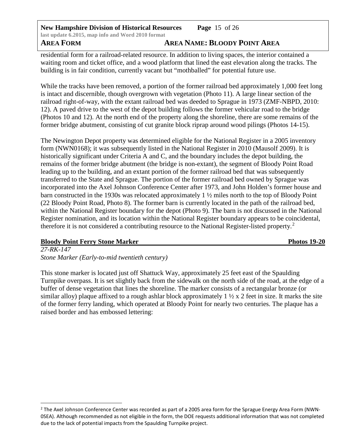**New Hampshire Division of Historical Resources Page** 15 of 26 **last update 6.2015, map info and Word 2010 format AREA FORM AREA NAME: BLOODY POINT AREA**

residential form for a railroad-related resource. In addition to living spaces, the interior contained a waiting room and ticket office, and a wood platform that lined the east elevation along the tracks. The building is in fair condition, currently vacant but "mothballed" for potential future use.

While the tracks have been removed, a portion of the former railroad bed approximately 1,000 feet long is intact and discernible, though overgrown with vegetation (Photo 11). A large linear section of the railroad right-of-way, with the extant railroad bed was deeded to Sprague in 1973 (ZMF-NBPD, 2010: 12). A paved drive to the west of the depot building follows the former vehicular road to the bridge (Photos 10 and 12). At the north end of the property along the shoreline, there are some remains of the former bridge abutment, consisting of cut granite block riprap around wood pilings (Photos 14-15).

The Newington Depot property was determined eligible for the National Register in a 2005 inventory form (NWN0168); it was subsequently listed in the National Register in 2010 (Mausolf 2009). It is historically significant under Criteria A and C, and the boundary includes the depot building, the remains of the former bridge abutment (the bridge is non-extant), the segment of Bloody Point Road leading up to the building, and an extant portion of the former railroad bed that was subsequently transferred to the State and Sprague. The portion of the former railroad bed owned by Sprague was incorporated into the Axel Johnson Conference Center after 1973, and John Holden's former house and barn constructed in the 1930s was relocated approximately 1 ½ miles north to the top of Bloody Point (22 Bloody Point Road, Photo 8). The former barn is currently located in the path of the railroad bed, within the National Register boundary for the depot (Photo 9). The barn is not discussed in the National Register nomination, and its location within the National Register boundary appears to be coincidental, therefore it is not considered a contributing resource to the National Register-listed property.<sup>[2](#page-15-0)</sup>

## **Bloody Point Ferry Stone Marker Photos 19-20**

 $\overline{a}$ 

*27-RK-147 Stone Marker (Early-to-mid twentieth century)* 

This stone marker is located just off Shattuck Way, approximately 25 feet east of the Spaulding Turnpike overpass. It is set slightly back from the sidewalk on the north side of the road, at the edge of a buffer of dense vegetation that lines the shoreline. The marker consists of a rectangular bronze (or similar alloy) plaque affixed to a rough ashlar block approximately  $1 \frac{1}{2} \times 2$  feet in size. It marks the site of the former ferry landing, which operated at Bloody Point for nearly two centuries. The plaque has a raised border and has embossed lettering:

<span id="page-15-0"></span><sup>&</sup>lt;sup>2</sup> The Axel Johnson Conference Center was recorded as part of a 2005 area form for the Sprague Energy Area Form (NWN-0SEA). Although recommended as not eligible in the form, the DOE requests additional information that was not completed due to the lack of potential impacts from the Spaulding Turnpike project.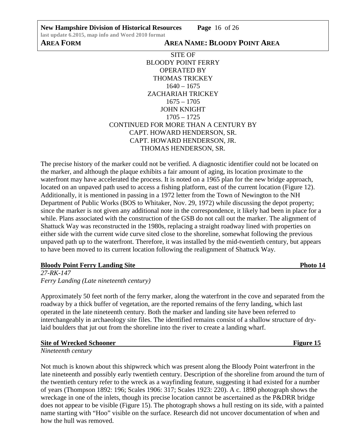**New Hampshire Division of Historical Resources Page** 16 of 26

SITE OF BLOODY POINT FERRY OPERATED BY THOMAS TRICKEY  $1640 - 1675$ ZACHARIAH TRICKEY 1675 – 1705 JOHN KNIGHT 1705 – 1725 CONTINUED FOR MORE THAN A CENTURY BY CAPT. HOWARD HENDERSON, SR. CAPT. HOWARD HENDERSON, JR. THOMAS HENDERSON, SR.

The precise history of the marker could not be verified. A diagnostic identifier could not be located on the marker, and although the plaque exhibits a fair amount of aging, its location proximate to the waterfront may have accelerated the process. It is noted on a 1965 plan for the new bridge approach, located on an unpaved path used to access a fishing platform, east of the current location (Figure 12). Additionally, it is mentioned in passing in a 1972 letter from the Town of Newington to the NH Department of Public Works (BOS to Whitaker, Nov. 29, 1972) while discussing the depot property; since the marker is not given any additional note in the correspondence, it likely had been in place for a while. Plans associated with the construction of the GSB do not call out the marker. The alignment of Shattuck Way was reconstructed in the 1980s, replacing a straight roadway lined with properties on either side with the current wide curve sited close to the shoreline, somewhat following the previous unpaved path up to the waterfront. Therefore, it was installed by the mid-twentieth century, but appears to have been moved to its current location following the realignment of Shattuck Way.

## **Bloody Point Ferry Landing Site Photo 14**

*27-RK-147 Ferry Landing (Late nineteenth century)*

Approximately 50 feet north of the ferry marker, along the waterfront in the cove and separated from the roadway by a thick buffer of vegetation, are the reported remains of the ferry landing, which last operated in the late nineteenth century. Both the marker and landing site have been referred to interchangeably in archaeology site files. The identified remains consist of a shallow structure of drylaid boulders that jut out from the shoreline into the river to create a landing wharf.

# **Site of Wrecked Schooner** Figure 15

*Nineteenth century*

Not much is known about this shipwreck which was present along the Bloody Point waterfront in the late nineteenth and possibly early twentieth century. Description of the shoreline from around the turn of the twentieth century refer to the wreck as a wayfinding feature, suggesting it had existed for a number of years (Thompson 1892: 196; Scales 1906: 317; Scales 1923: 220). A c. 1890 photograph shows the wreckage in one of the inlets, though its precise location cannot be ascertained as the P&DRR bridge does not appear to be visible (Figure 15). The photograph shows a hull resting on its side, with a painted name starting with "Hoo" visible on the surface. Research did not uncover documentation of when and how the hull was removed.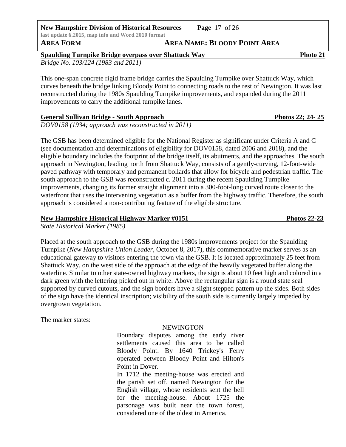**Spaulding Turnpike Bridge overpass over Shattuck Way Photo 21** 

*Bridge No. 103/124 (1983 and 2011)* 

This one-span concrete rigid frame bridge carries the Spaulding Turnpike over Shattuck Way, which curves beneath the bridge linking Bloody Point to connecting roads to the rest of Newington. It was last reconstructed during the 1980s Spaulding Turnpike improvements, and expanded during the 2011 improvements to carry the additional turnpike lanes.

## **General Sullivan Bridge - South Approach Photos 22; 24- 25**

*DOV0158 (1934; approach was reconstructed in 2011)* 

The GSB has been determined eligible for the National Register as significant under Criteria A and C (see documentation and determinations of eligibility for DOV0158, dated 2006 and 2018), and the eligible boundary includes the footprint of the bridge itself, its abutments, and the approaches. The south approach in Newington, leading north from Shattuck Way, consists of a gently-curving, 12-foot-wide paved pathway with temporary and permanent bollards that allow for bicycle and pedestrian traffic. The south approach to the GSB was reconstructed c. 2011 during the recent Spaulding Turnpike improvements, changing its former straight alignment into a 300-foot-long curved route closer to the waterfront that uses the intervening vegetation as a buffer from the highway traffic. Therefore, the south approach is considered a non-contributing feature of the eligible structure.

## **New Hampshire Historical Highway Marker #0151 Photos 22-23**

*State Historical Marker (1985)* 

Placed at the south approach to the GSB during the 1980s improvements project for the Spaulding Turnpike (*New Hampshire Union Leader*, October 8, 2017), this commemorative marker serves as an educational gateway to visitors entering the town via the GSB. It is located approximately 25 feet from Shattuck Way, on the west side of the approach at the edge of the heavily vegetated buffer along the waterline. Similar to other state-owned highway markers, the sign is about 10 feet high and colored in a dark green with the lettering picked out in white. Above the rectangular sign is a round state seal supported by curved cutouts, and the sign borders have a slight stepped pattern up the sides. Both sides of the sign have the identical inscription; visibility of the south side is currently largely impeded by overgrown vegetation.

The marker states:

# NEWINGTON

Boundary disputes among the early river settlements caused this area to be called Bloody Point. By 1640 Trickey's Ferry operated between Bloody Point and Hilton's Point in Dover.

In 1712 the meeting-house was erected and the parish set off, named Newington for the English village, whose residents sent the bell for the meeting-house. About 1725 the parsonage was built near the town forest, considered one of the oldest in America.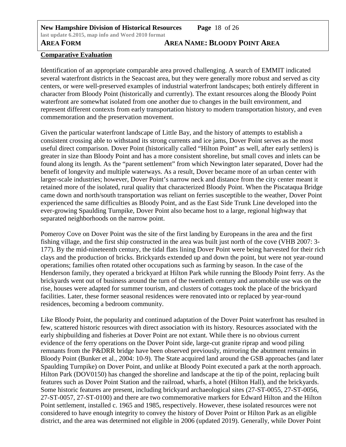# **AREA FORM AREA NAME: BLOODY POINT AREA**

# **Comparative Evaluation**

Identification of an appropriate comparable area proved challenging. A search of EMMIT indicated several waterfront districts in the Seacoast area, but they were generally more robust and served as city centers, or were well-preserved examples of industrial waterfront landscapes; both entirely different in character from Bloody Point (historically and currently). The extant resources along the Bloody Point waterfront are somewhat isolated from one another due to changes in the built environment, and represent different contexts from early transportation history to modern transportation history, and even commemoration and the preservation movement.

Given the particular waterfront landscape of Little Bay, and the history of attempts to establish a consistent crossing able to withstand its strong currents and ice jams, Dover Point serves as the most useful direct comparison. Dover Point (historically called "Hilton Point" as well, after early settlers) is greater in size than Bloody Point and has a more consistent shoreline, but small coves and inlets can be found along its length. As the "parent settlement" from which Newington later separated, Dover had the benefit of longevity and multiple waterways. As a result, Dover became more of an urban center with larger-scale industries; however, Dover Point's narrow neck and distance from the city center meant it retained more of the isolated, rural quality that characterized Bloody Point. When the Piscataqua Bridge came down and north/south transportation was reliant on ferries susceptible to the weather, Dover Point experienced the same difficulties as Bloody Point, and as the East Side Trunk Line developed into the ever-growing Spaulding Turnpike, Dover Point also became host to a large, regional highway that separated neighborhoods on the narrow point.

Pomeroy Cove on Dover Point was the site of the first landing by Europeans in the area and the first fishing village, and the first ship constructed in the area was built just north of the cove (VHB 2007: 3- 177). By the mid-nineteenth century, the tidal flats lining Dover Point were being harvested for their rich clays and the production of bricks. Brickyards extended up and down the point, but were not year-round operations; families often rotated other occupations such as farming by season. In the case of the Henderson family, they operated a brickyard at Hilton Park while running the Bloody Point ferry. As the brickyards went out of business around the turn of the twentieth century and automobile use was on the rise, houses were adapted for summer tourism, and clusters of cottages took the place of the brickyard facilities. Later, these former seasonal residences were renovated into or replaced by year-round residences, becoming a bedroom community.

Like Bloody Point, the popularity and continued adaptation of the Dover Point waterfront has resulted in few, scattered historic resources with direct association with its history. Resources associated with the early shipbuilding and fisheries at Dover Point are not extant. While there is no obvious current evidence of the ferry operations on the Dover Point side, large-cut granite riprap and wood piling remnants from the P&DRR bridge have been observed previously, mirroring the abutment remains in Bloody Point (Bunker et al., 2004: 10-9). The State acquired land around the GSB approaches (and later Spaulding Turnpike) on Dover Point, and unlike at Bloody Point executed a park at the north approach. Hilton Park (DOV0150) has changed the shoreline and landscape at the tip of the point, replacing built features such as Dover Point Station and the railroad, wharfs, a hotel (Hilton Hall), and the brickyards. Some historic features are present, including brickyard archaeological sites (27-ST-0055, 27-ST-0056, 27-ST-0057, 27-ST-0100) and there are two commemorative markers for Edward Hilton and the Hilton Point settlement, installed c. 1965 and 1985, respectively. However, these isolated resources were not considered to have enough integrity to convey the history of Dover Point or Hilton Park as an eligible district, and the area was determined not eligible in 2006 (updated 2019). Generally, while Dover Point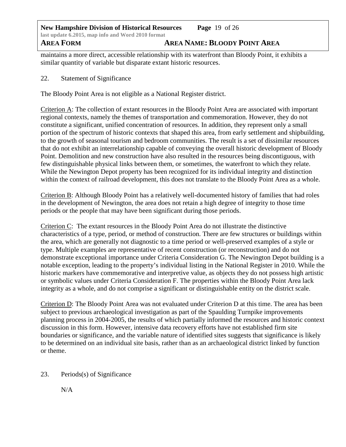**New Hampshire Division of Historical Resources Page** 19 of 26 **last update 6.2015, map info and Word 2010 format AREA FORM AREA NAME: BLOODY POINT AREA**

maintains a more direct, accessible relationship with its waterfront than Bloody Point, it exhibits a similar quantity of variable but disparate extant historic resources.

22. Statement of Significance

The Bloody Point Area is not eligible as a National Register district.

Criterion A: The collection of extant resources in the Bloody Point Area are associated with important regional contexts, namely the themes of transportation and commemoration. However, they do not constitute a significant, unified concentration of resources. In addition, they represent only a small portion of the spectrum of historic contexts that shaped this area, from early settlement and shipbuilding, to the growth of seasonal tourism and bedroom communities. The result is a set of dissimilar resources that do not exhibit an interrelationship capable of conveying the overall historic development of Bloody Point. Demolition and new construction have also resulted in the resources being discontiguous, with few distinguishable physical links between them, or sometimes, the waterfront to which they relate. While the Newington Depot property has been recognized for its individual integrity and distinction within the context of railroad development, this does not translate to the Bloody Point Area as a whole.

Criterion B: Although Bloody Point has a relatively well-documented history of families that had roles in the development of Newington, the area does not retain a high degree of integrity to those time periods or the people that may have been significant during those periods.

Criterion C: The extant resources in the Bloody Point Area do not illustrate the distinctive characteristics of a type, period, or method of construction. There are few structures or buildings within the area, which are generally not diagnostic to a time period or well-preserved examples of a style or type. Multiple examples are representative of recent construction (or reconstruction) and do not demonstrate exceptional importance under Criteria Consideration G. The Newington Depot building is a notable exception, leading to the property's individual listing in the National Register in 2010. While the historic markers have commemorative and interpretive value, as objects they do not possess high artistic or symbolic values under Criteria Consideration F. The properties within the Bloody Point Area lack integrity as a whole, and do not comprise a significant or distinguishable entity on the district scale.

Criterion D: The Bloody Point Area was not evaluated under Criterion D at this time. The area has been subject to previous archaeological investigation as part of the Spaulding Turnpike improvements planning process in 2004-2005, the results of which partially informed the resources and historic context discussion in this form. However, intensive data recovery efforts have not established firm site boundaries or significance, and the variable nature of identified sites suggests that significance is likely to be determined on an individual site basis, rather than as an archaeological district linked by function or theme.

## 23. Periods(s) of Significance

N/A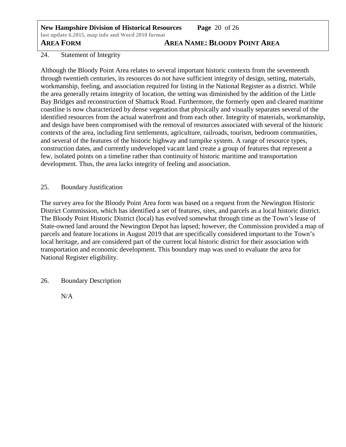**New Hampshire Division of Historical Resources Page** 20 of 26 **last update 6.2015, map info and Word 2010 format**

**AREA FORM AREA NAME: BLOODY POINT AREA**

## 24. Statement of Integrity

Although the Bloody Point Area relates to several important historic contexts from the seventeenth through twentieth centuries, its resources do not have sufficient integrity of design, setting, materials, workmanship, feeling, and association required for listing in the National Register as a district. While the area generally retains integrity of location, the setting was diminished by the addition of the Little Bay Bridges and reconstruction of Shattuck Road. Furthermore, the formerly open and cleared maritime coastline is now characterized by dense vegetation that physically and visually separates several of the identified resources from the actual waterfront and from each other. Integrity of materials, workmanship, and design have been compromised with the removal of resources associated with several of the historic contexts of the area, including first settlements, agriculture, railroads, tourism, bedroom communities, and several of the features of the historic highway and turnpike system. A range of resource types, construction dates, and currently undeveloped vacant land create a group of features that represent a few, isolated points on a timeline rather than continuity of historic maritime and transportation development. Thus, the area lacks integrity of feeling and association.

## 25. Boundary Justification

The survey area for the Bloody Point Area form was based on a request from the Newington Historic District Commission, which has identified a set of features, sites, and parcels as a local historic district. The Bloody Point Historic District (local) has evolved somewhat through time as the Town's lease of State-owned land around the Newington Depot has lapsed; however, the Commission provided a map of parcels and feature locations in August 2019 that are specifically considered important to the Town's local heritage, and are considered part of the current local historic district for their association with transportation and economic development. This boundary map was used to evaluate the area for National Register eligibility.

26. Boundary Description

N/A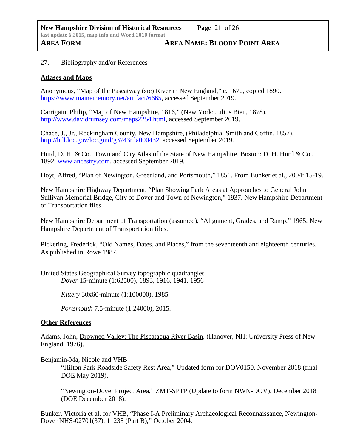## 27. Bibliography and/or References

## **Atlases and Maps**

Anonymous, "Map of the Pascatway (sic) River in New England," c. 1670, copied 1890. [https://www.mainememory.net/artifact/6665,](https://www.mainememory.net/artifact/6665) accessed September 2019.

Carrigain, Philip, "Map of New Hampshire, 1816," (New York: Julius Bien, 1878). [http://www.davidrumsey.com/maps2254.html,](http://www.davidrumsey.com/maps2254.html) accessed September 2019.

Chace, J., Jr., Rockingham County, New Hampshire, (Philadelphia: Smith and Coffin, 1857). [http://hdl.loc.gov/loc.gmd/g3743r.la000432,](http://hdl.loc.gov/loc.gmd/g3743r.la000432) accessed September 2019.

Hurd, D. H. & Co., Town and City Atlas of the State of New Hampshire. Boston: D. H. Hurd & Co., 1892. [www.ancestry.com,](http://www.ancestry.com/) accessed September 2019.

Hoyt, Alfred, "Plan of Newington, Greenland, and Portsmouth," 1851. From Bunker et al., 2004: 15-19.

New Hampshire Highway Department, "Plan Showing Park Areas at Approaches to General John Sullivan Memorial Bridge, City of Dover and Town of Newington," 1937. New Hampshire Department of Transportation files.

New Hampshire Department of Transportation (assumed), "Alignment, Grades, and Ramp," 1965. New Hampshire Department of Transportation files.

Pickering, Frederick, "Old Names, Dates, and Places," from the seventeenth and eighteenth centuries. As published in Rowe 1987.

United States Geographical Survey topographic quadrangles *Dover* 15-minute (1:62500), 1893, 1916, 1941, 1956

*Kittery* 30x60-minute (1:100000), 1985

*Portsmouth* 7.5-minute (1:24000), 2015.

### **Other References**

Adams, John, Drowned Valley: The Piscataqua River Basin, (Hanover, NH: University Press of New England, 1976).

Benjamin-Ma, Nicole and VHB

"Hilton Park Roadside Safety Rest Area," Updated form for DOV0150, November 2018 (final DOE May 2019).

"Newington-Dover Project Area," ZMT-SPTP (Update to form NWN-DOV), December 2018 (DOE December 2018).

Bunker, Victoria et al. for VHB, "Phase I-A Preliminary Archaeological Reconnaissance, Newington-Dover NHS-02701(37), 11238 (Part B)," October 2004.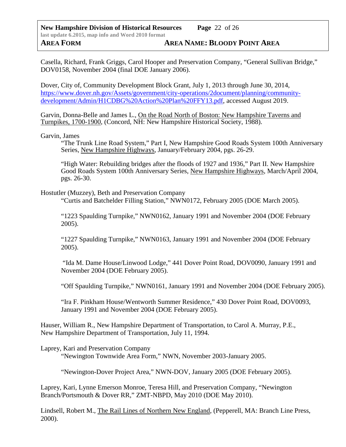Casella, Richard, Frank Griggs, Carol Hooper and Preservation Company, "General Sullivan Bridge," DOV0158, November 2004 (final DOE January 2006).

Dover, City of, Community Development Block Grant, July 1, 2013 through June 30, 2014, [https://www.dover.nh.gov/Assets/government/city-operations/2document/planning/community](https://www.dover.nh.gov/Assets/government/city-operations/2document/planning/community-development/Admin/H1CDBG%20Action%20Plan%20FFY13.pdf)[development/Admin/H1CDBG%20Action%20Plan%20FFY13.pdf,](https://www.dover.nh.gov/Assets/government/city-operations/2document/planning/community-development/Admin/H1CDBG%20Action%20Plan%20FFY13.pdf) accessed August 2019.

Garvin, Donna-Belle and James L., On the Road North of Boston: New Hampshire Taverns and Turnpikes, 1700-1900, (Concord, NH: New Hampshire Historical Society, 1988).

Garvin, James

"The Trunk Line Road System," Part I, New Hampshire Good Roads System 100th Anniversary Series, New Hampshire Highways, January/February 2004, pgs. 26-29.

"High Water: Rebuilding bridges after the floods of 1927 and 1936," Part II. New Hampshire Good Roads System 100th Anniversary Series, New Hampshire Highways, March/April 2004, pgs. 26-30.

Hostutler (Muzzey), Beth and Preservation Company

"Curtis and Batchelder Filling Station," NWN0172, February 2005 (DOE March 2005).

"1223 Spaulding Turnpike," NWN0162, January 1991 and November 2004 (DOE February 2005).

"1227 Spaulding Turnpike," NWN0163, January 1991 and November 2004 (DOE February 2005).

 "Ida M. Dame House/Linwood Lodge," 441 Dover Point Road, DOV0090, January 1991 and November 2004 (DOE February 2005).

"Off Spaulding Turnpike," NWN0161, January 1991 and November 2004 (DOE February 2005).

"Ira F. Pinkham House/Wentworth Summer Residence," 430 Dover Point Road, DOV0093, January 1991 and November 2004 (DOE February 2005).

Hauser, William R., New Hampshire Department of Transportation, to Carol A. Murray, P.E., New Hampshire Department of Transportation, July 11, 1994.

Laprey, Kari and Preservation Company

"Newington Townwide Area Form," NWN, November 2003-January 2005.

"Newington-Dover Project Area," NWN-DOV, January 2005 (DOE February 2005).

Laprey, Kari, Lynne Emerson Monroe, Teresa Hill, and Preservation Company, "Newington Branch/Portsmouth & Dover RR," ZMT-NBPD, May 2010 (DOE May 2010).

Lindsell, Robert M., The Rail Lines of Northern New England, (Pepperell, MA: Branch Line Press, 2000).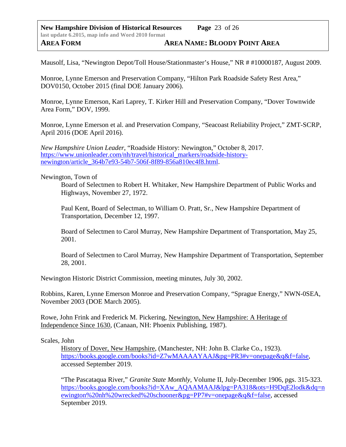Mausolf, Lisa, "Newington Depot/Toll House/Stationmaster's House," NR # #10000187, August 2009.

Monroe, Lynne Emerson and Preservation Company, "Hilton Park Roadside Safety Rest Area," DOV0150, October 2015 (final DOE January 2006).

Monroe, Lynne Emerson, Kari Laprey, T. Kirker Hill and Preservation Company, "Dover Townwide Area Form," DOV, 1999.

Monroe, Lynne Emerson et al. and Preservation Company, "Seacoast Reliability Project," ZMT-SCRP, April 2016 (DOE April 2016).

*New Hampshire Union Leader*, "Roadside History: Newington," October 8, 2017. [https://www.unionleader.com/nh/travel/historical\\_markers/roadside-history](https://www.unionleader.com/nh/travel/historical_markers/roadside-history-newington/article_364b7e93-54b7-506f-8f89-856a810ec4f8.html)[newington/article\\_364b7e93-54b7-506f-8f89-856a810ec4f8.html.](https://www.unionleader.com/nh/travel/historical_markers/roadside-history-newington/article_364b7e93-54b7-506f-8f89-856a810ec4f8.html)

Newington, Town of

Board of Selectmen to Robert H. Whitaker, New Hampshire Department of Public Works and Highways, November 27, 1972.

Paul Kent, Board of Selectman, to William O. Pratt, Sr., New Hampshire Department of Transportation, December 12, 1997.

Board of Selectmen to Carol Murray, New Hampshire Department of Transportation, May 25, 2001.

Board of Selectmen to Carol Murray, New Hampshire Department of Transportation, September 28, 2001.

Newington Historic District Commission, meeting minutes, July 30, 2002.

Robbins, Karen, Lynne Emerson Monroe and Preservation Company, "Sprague Energy," NWN-0SEA, November 2003 (DOE March 2005).

Rowe, John Frink and Frederick M. Pickering, Newington, New Hampshire: A Heritage of Independence Since 1630, (Canaan, NH: Phoenix Publishing, 1987).

## Scales, John

History of Dover, New Hampshire, (Manchester, NH: John B. Clarke Co., 1923). [https://books.google.com/books?id=Z7wMAAAAYAAJ&pg=PR3#v=onepage&q&f=false,](https://books.google.com/books?id=Z7wMAAAAYAAJ&pg=PR3#v=onepage&q&f=false) accessed September 2019.

"The Pascataqua River," *Granite State Monthly*, Volume II, July-December 1906, pgs. 315-323. [https://books.google.com/books?id=XAw\\_AQAAMAAJ&lpg=PA318&ots=H9DqE2lodk&dq=n](https://books.google.com/books?id=XAw_AQAAMAAJ&lpg=PA318&ots=H9DqE2lodk&dq=newington%20nh%20wrecked%20schooner&pg=PP7#v=onepage&q&f=false) [ewington%20nh%20wrecked%20schooner&pg=PP7#v=onepage&q&f=false,](https://books.google.com/books?id=XAw_AQAAMAAJ&lpg=PA318&ots=H9DqE2lodk&dq=newington%20nh%20wrecked%20schooner&pg=PP7#v=onepage&q&f=false) accessed September 2019.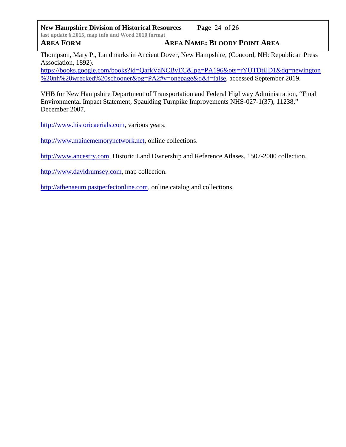**New Hampshire Division of Historical Resources Page** 24 of 26 **last update 6.2015, map info and Word 2010 format AREA FORM AREA NAME: BLOODY POINT AREA**

Thompson, Mary P., Landmarks in Ancient Dover, New Hampshire, (Concord, NH: Republican Press Association, 1892).

[https://books.google.com/books?id=QarkVaNCBvEC&lpg=PA196&ots=rYUTDtiJD1&dq=newington](https://books.google.com/books?id=QarkVaNCBvEC&lpg=PA196&ots=rYUTDtiJD1&dq=newington%20nh%20wrecked%20schooner&pg=PA2#v=onepage&q&f=false) [%20nh%20wrecked%20schooner&pg=PA2#v=onepage&q&f=false,](https://books.google.com/books?id=QarkVaNCBvEC&lpg=PA196&ots=rYUTDtiJD1&dq=newington%20nh%20wrecked%20schooner&pg=PA2#v=onepage&q&f=false) accessed September 2019.

VHB for New Hampshire Department of Transportation and Federal Highway Administration, "Final Environmental Impact Statement, Spaulding Turnpike Improvements NHS-027-1(37), 11238," December 2007.

[http://www.historicaerials.com,](http://www.historicaerials.com/) various years.

[http://www.mainememorynetwork.net,](http://www.mainememorynetwork.net/) online collections.

[http://www.ancestry.com,](http://www.ancestry.com/) Historic Land Ownership and Reference Atlases, 1507-2000 collection.

[http://www.davidrumsey.com,](http://www.davidrumsey.com/) map collection.

[http://athenaeum.pastperfectonline.com,](http://athenaeum.pastperfectonline.com/) online catalog and collections.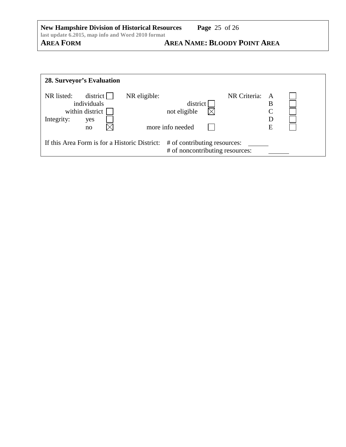| <b>New Hampshire Division of Historical Resources</b> | <b>Page</b> 25 of 26                |
|-------------------------------------------------------|-------------------------------------|
| last update 6.2015, map info and Word 2010 format     |                                     |
| <b>AREA FORM</b>                                      | <b>AREA NAME: BLOODY POINT AREA</b> |

| <b>28. Surveyor's Evaluation</b>                                                                                 |                            |                                              |  |                                                             |  |
|------------------------------------------------------------------------------------------------------------------|----------------------------|----------------------------------------------|--|-------------------------------------------------------------|--|
| NR listed:<br>individuals<br>within district<br>Integrity:<br>yes<br>no                                          | district  <br>NR eligible: | district<br>not eligible<br>more info needed |  | NR Criteria:<br>$\mathsf{A}$<br>B<br>$\mathsf{C}$<br>D<br>E |  |
| If this Area Form is for a Historic District:<br># of contributing resources:<br># of noncontributing resources: |                            |                                              |  |                                                             |  |